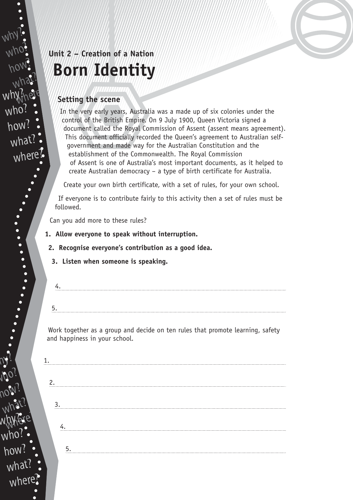# **Unit 2 – Creation of a Nation Born Identity**

## **Setting the scene**

In the very early years, Australia was a made up of six colonies under the control of the British Empire. On 9 July 1900, Queen Victoria signed a document called the Royal Commission of Assent (assent means agreement). This document officially recorded the Queen's agreement to Australian selfgovernment and made way for the Australian Constitution and the establishment of the Commonwealth. The Royal Commission of Assent is one of Australia's most important documents, as it helped to create Australian democracy – a type of birth certificate for Australia.

Create your own birth certificate, with a set of rules, for your own school.

If everyone is to contribute fairly to this activity then a set of rules must be followed.

Can you add more to these rules?

 $N$ 

why?

who?

how?

what?

why?nere

who

how?

what?

where?

who?

how?

w.hy?

who?

how?

what?

where

what?

hylere?

**1. Allow everyone to speak without interruption.**

**2. Recognise everyone's contribution as a good idea.**

- **3. Listen when someone is speaking.**
- 4. 5.

Work together as a group and decide on ten rules that promote learning, safety and happiness in your school.

| ာ  |  |  |  |
|----|--|--|--|
| 3. |  |  |  |
|    |  |  |  |
|    |  |  |  |
| 5. |  |  |  |
|    |  |  |  |
|    |  |  |  |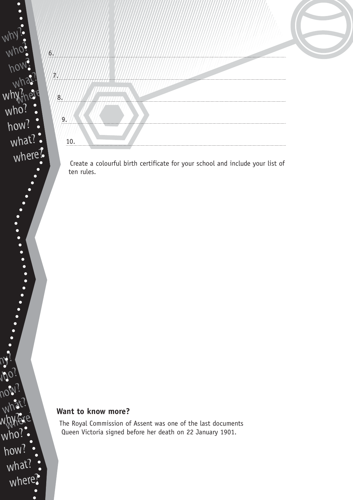

Create a colourful birth certificate for your school and include your list of ten rules.

## **Want to know more?**

 $N$ 

 $W^\prime$ 

 $\overline{M}$ 

why

who<sup>®</sup>

 $\bullet$  $\bullet$  $\bullet$ 

 $\ddot{\bullet}$ 

 $\bullet$ 

who?

how?

w.hy?

 $M$ 

what?

how?

what?

where

hylere?

The Royal Commission of Assent was one of the last documents Queen Victoria signed before her death on 22 January 1901.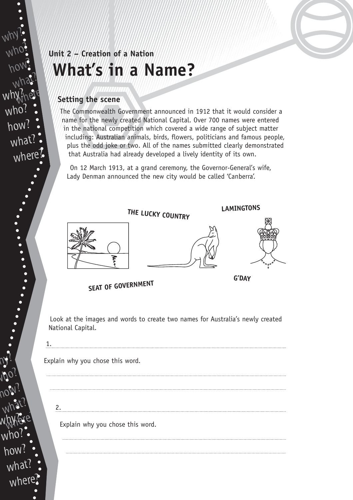## **Unit 2 – Creation of a Nation What's in a Name?**

## **Setting the scene**

The Commonwealth Government announced in 1912 that it would consider a name for the newly created National Capital. Over 700 names were entered in the national competition which covered a wide range of subject matter including: Australian animals, birds, flowers, politicians and famous people, plus the odd joke or two. All of the names submitted clearly demonstrated that Australia had already developed a lively identity of its own.

On 12 March 1913, at a grand ceremony, the Governor-General's wife, Lady Denman announced the new city would be called 'Canberra'.



Explain why you chose this word.

Explain why you chose this word.

2.

how? what? hylere? w.hy? who? how? what where

 $N$ 

why?

who?

how?

what?

why?nere

who?

how?

what?

where?

who?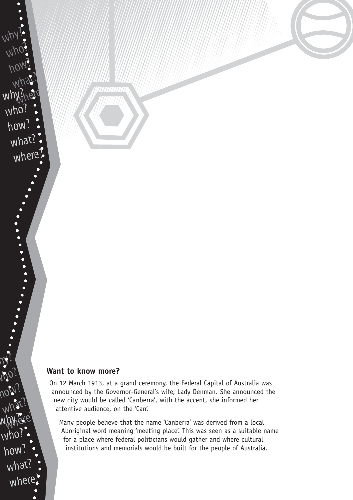#### **Want to know more?**

On 12 March 1913, at a grand ceremony, the Federal Capital of Australia was announced by the Governor-General's wife, Lady Denman. She announced the new city would be called 'Canberra', with the accent, she informed her attentive audience, on the 'Can'.

Many people believe that the name 'Canberra' was derived from a local Aboriginal word meaning 'meeting place'. This was seen as a suitable name for a place where federal politicians would gather and where cultural institutions and memorials would be built for the people of Australia.

how? what? hylere? w.hy?  $Mpc$ how? what? where?

 $N$ 

why?

who?

how?

what?

why?nere

who?

how?

what?

where?

who?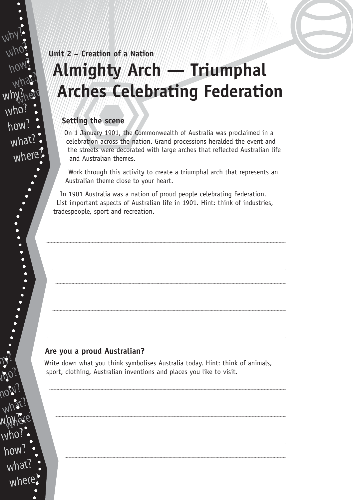# **Unit 2 – Creation of a Nation Almighty Arch — Triumphal Arches Celebrating Federation**

## **Setting the scene**

On 1 January 1901, the Commonwealth of Australia was proclaimed in a celebration across the nation. Grand processions heralded the event and the streets were decorated with large arches that reflected Australian life and Australian themes.

Work through this activity to create a triumphal arch that represents an Australian theme close to your heart.

In 1901 Australia was a nation of proud people celebrating Federation. List important aspects of Australian life in 1901. Hint: think of industries, tradespeople, sport and recreation.

## **Are you a proud Australian?**

 $N$ 

why?

who?

how?

what?

why?nere

who?

how?

what

where

who?

how?

w.hy?

who?

how?

 $m\mu$ 

what?

what?

hylere?

Write down what you think symbolises Australia today. Hint: think of animals, sport, clothing, Australian inventions and places you like to visit.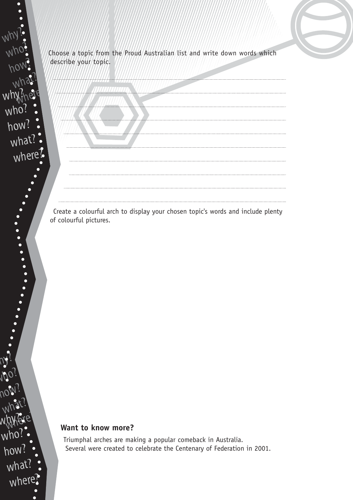Choose a topic from the Proud Australian list and write down words which describe your topic.



Create a colourful arch to display your chosen topic's words and include plenty of colourful pictures.

## **Want to know more?**

 $N$ 

why?

wh<sup>,</sup>

who?

how?

 $\bullet$  $\bullet$  $\bullet$ 

what?

where?

who?

how?

what?

who?

how?

w.hy?

who?

how?

what?

where

what?

hylere?

Triumphal arches are making a popular comeback in Australia. Several were created to celebrate the Centenary of Federation in 2001.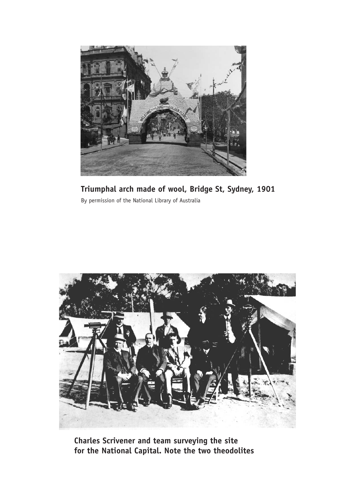

**Triumphal arch made of wool, Bridge St, Sydney, 1901** By permission of the National Library of Australia



**Charles Scrivener and team surveying the site for the National Capital. Note the two theodolites**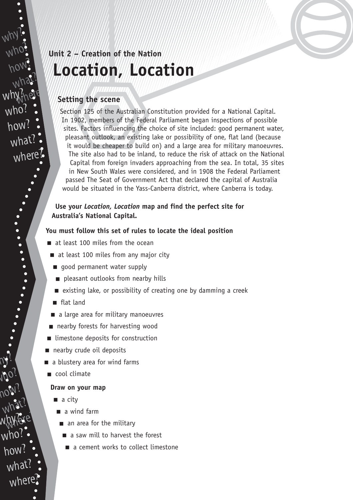# **Unit 2 – Creation of the Nation Location, Location**

### **Setting the scene**

Section 125 of the Australian Constitution provided for a National Capital. In 1902, members of the Federal Parliament began inspections of possible sites. Factors influencing the choice of site included: good permanent water, pleasant outlook, an existing lake or possibility of one, flat land (because it would be cheaper to build on) and a large area for military manoeuvres. The site also had to be inland, to reduce the risk of attack on the National Capital from foreign invaders approaching from the sea. In total, 35 sites in New South Wales were considered, and in 1908 the Federal Parliament passed The Seat of Government Act that declared the capital of Australia would be situated in the Yass-Canberra district, where Canberra is today.

### **Use your** *Location, Location* **map and find the perfect site for Australia's National Capital.**

#### **You must follow this set of rules to locate the ideal position**

- at least 100 miles from the ocean
- at least 100 miles from any major city
- good permanent water supply
- pleasant outlooks from nearby hills
- existing lake, or possibility of creating one by damming a creek
- flat land
- a large area for military manoeuvres
- nearby forests for harvesting wood
- limestone deposits for construction
- nearby crude oil deposits
- a blustery area for wind farms
- cool climate

#### **Draw on your map**

- a city
- a wind farm
	- an area for the military
		- a saw mill to harvest the forest
		- a cement works to collect limestone

what? hylere? w.hy? who? how? what where

 $N$ 

why?

who?

how?

what?

why?nere

who?

how?

what?

where?

who?

how?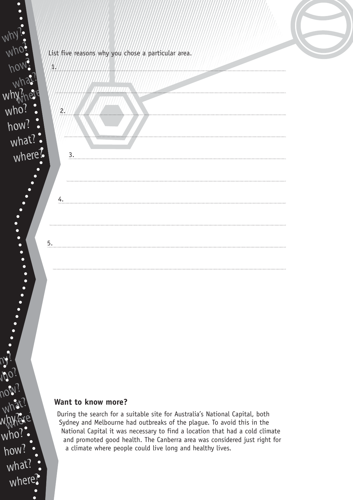

#### **Want to know more?**

 $N$ 

who?

how?

w.hy?

who?

how?

what?

where?

what?

hylere?

During the search for a suitable site for Australia's National Capital, both Sydney and Melbourne had outbreaks of the plague. To avoid this in the National Capital it was necessary to find a location that had a cold climate and promoted good health. The Canberra area was considered just right for a climate where people could live long and healthy lives.